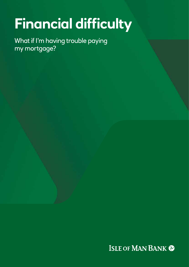# **Financial difficulty**

What if I'm having trouble paying my mortgage?

**ISLE OF MAN BANK &**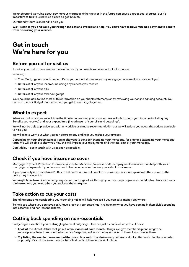We understand worrying about paying your mortgage either now or in the future can cause a great deal of stress, but it's important to talk to us now, so please do get in touch.

Our friendly team is on hand to help you.

**We'll listen to you and walk you through the options available to help. You don't have to have missed a payment to benefit from discussing your worries.**

# **Get in touch We're here for you**

#### **Before you call or visit us**

It makes your call to us or visit far more effective if you provide some important information.

Including:

- Your Mortgage Account Number (it's on your annual statement or any mortgage paperwork we have sent you)
- Details of all of your income, including any Benefits you receive
- Details of all of your bills
- Details of all of your other outgoings

You should be able to find most of this information on your bank statements or by reviewing your online banking account. You can also use our Budget Planner to help you get these things together.

#### **What to expect**

When you call or visit us we will take the time to understand your situation. We will talk through your income (including any Benefits you receive) and your expenditure (including all of your bills and outgoings).

We will not be able to provide you with any advice or a make recommendation but we will talk to you about the options available to help you.

We will aim to work out what you can afford to pay and help you reduce your arrears.

Depending on your circumstances you might want to consider changing your mortgage, for example extending your mortgage term. We will be able to show you how this will impact your repayments and the total cost of your mortgage.

Don't delay – get in touch with us as soon as possible.

#### **Check if you have insurance cover**

Mortgage Payment Protection Insurance, also called Accident, Sickness and Unemployment insurance, can help with your mortgage repayments if your income has fallen because of redundancy, accident or sickness.

If your property is an investment/a Buy to Let and you took out Landlord insurance you should speak with the insurer as the policy may cover voids.

You might have taken it out when you got your mortgage – look through your mortgage paperwork and double check with us or the broker who you used when you took out the mortgage.

#### **Take action to cut your costs**

Spending some time considering your spending habits will help you see if you can save money anywhere.

To help see where you can save cash, have a look at your outgoings in relation to what you have coming in then divide spending into essential and non-essential items.

#### **Cutting back spending on non-essentials**

Budgeting is essential if you're struggling to meet outgoings. Here are just a couple of ways to cut back:

- **Look at the Direct Debits that go out of your account each month** things like gym membership and magazine subscriptions. Now think about whether you're getting value for money out of all of them. If not, cancel them.
- **Try listing the smaller non-essential items you buy each day** take-away coffees or drinks after work. Put them in order of priority. Pick off the lower priority items first and cut them out one at a time.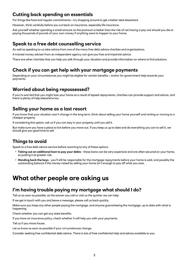# **Cutting back spending on essentials**

For things like food and regular commitments – try shopping around to get a better deal elsewhere.

However, think carefully before you cut back on insurance, especially life insurance.

Ask yourself whether spending a small amount on the premium is better than the risk of not having a pay-out should you die or paying thousands of pounds of your own money if anything were to happen to your home.

# **Speak to a free debt counselling service**

As well as speaking to us take advice from one of the many free debt advice charities and organisations.

A trained money adviser from an independent agency can give you free and impartial advice.

There are other charities that can help you talk through your situation and provide information on where to find solutions.

# **Check if you can get help with your mortgage payments**

Depending on your circumstances you might be eligible for certain benefits – and/or for government help towards your payments.

# **Worried about being repossessed?**

If you're worried that you might lose your home as a result of lapsed repayments, charities can provide support and advice, and there is plenty of help elsewhere too.

# **Selling your home as a last resort**

If you know that your situation won't change in the long term, think about selling your home yourself and renting or moving to a cheaper property.

If considering this option, ask us if you can stay in your property until you sell it.

But make sure you have a place to live before you move out. If you keep us up to date and do everything you can to sell it, we should give you good time to sell.

# **Things to avoid**

Speak to a free debt advice service before resorting to any of these options.

- **Taking out an additional loan to pay your debts** these loans can be very expensive and are often secured on your home, so putting it at greater risk.
- **Handing back the keys** you'll still be responsible for the mortgage repayments before your home is sold, and possibly the outstanding balance if the money raised by selling your home isn't enough to pay off what you owe.

# **What other people are asking us**

# **I'm having trouble paying my mortgage what should I do?**

Tell us as soon as possible, as the sooner you call or visit us the quicker we can help.

If we get in touch with you and leave a message, please call us back quickly.

Make sure you keep any other people paying the mortgage, and anyone guaranteeing the mortgage, up to date with what is happening.

Check whether you can get any state benefits.

If you have an insurance policy, check whether it will help you with your payments.

Tell us if you move house.

Let us know as soon as possible if your circumstances change.

Consider seeking free confidential debt advice. There is lots of free confidential help and advice available to you.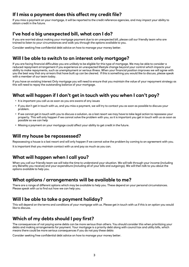# **If I miss a payment does this affect my credit file?**

If you miss a payment on your mortgage, it will be reported to the credit reference agencies, and may impact your ability to obtain credit in the future.

#### **I've had a big unexpected bill, what can I do?**

If you are worried about making your mortgage payment due to an unexpected bill, please call our friendly team who are trained to listen to your circumstances and walk you through the options available to you.

Consider seeking free confidential debt advice on how to manage your money better.

# **Will I be able to switch to an interest only mortgage?**

If you are facing financial difficulties you are unlikely to be eligible for this type of mortgage. We may be able to consider a reduced repayment arrangement if you experience an unexpected lifestyle change beyond your control which impacts your ability to make repayments, such as unemployment or serious illness. When your financial position improves we will agree with you the best way that any arrears that have built up can be cleared. If this is something you would like to discuss, please speak with a member of our team today.

If you have an existing Interest Only mortgage you will need to ensure that you maintain the value of your repayment strategy as this will need to repay the outstanding balance of your mortgage.

# **What will happen if I don't get in touch with you when I can't pay?**

- It is important you call us as soon as you are aware of any issues
- If you don't get in touch with us, and you miss a payment, we will try to contact you as soon as possible to discuss your problem.
- If we cannot get in touch with you to discuss a solution, as a last resort we may have to take legal action to repossess your property. This will only happen if we cannot solve the problem with you, so it is important you get in touch with us as soon as possible so we can help
- Missing a payment on your mortgage could affect your ability to get credit in the future.

#### **Will my house be repossessed?**

Repossessing a house is a last resort and will only happen if we cannot solve the problem by coming to an agreement with you.

It is important that you maintain contact with us and pay as much as you can.

# **What will happen when I call you?**

When you call our friendly team we will take the time to understand your situation. We will talk through your income (including any Benefits you receive) and your expenditure (including all of your bills and outgoings). We will then talk to you about the options available to help you.

# **What options / arrangements will be available to me?**

There are a range of different options which may be available to help you. These depend on your personal circumstances. Please speak with us to find out how we can help you.

# **Will I be able to take a payment holiday?**

This will depend on the terms and conditions of your mortgage with us. Please get in touch with us if this is an option you would like to discuss.

# **Which of my debts should I pay first?**

The consequences of not paying some debts can be more serious than others. You should consider this when prioritizing your debts and making arrangements for payment. Your mortgage is a priority debt along with council tax and utility bills, which means there could be more serious consequences if you do not pay these debts

Consider seeking free confidential debt advice on how to manage your money better.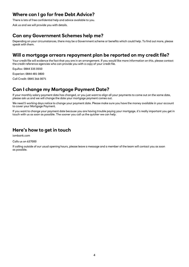# **Where can I go for free Debt Advice?**

There is lots of free confidential help and advice available to you.

Ask us and we will provide you with details.

### **Can any Government Schemes help me?**

Depending on your circumstances, there may be a Government scheme or benefits which could help. To find out more, please speak with them.

#### **Will a mortgage arrears repayment plan be reported on my credit file?**

Your credit file will evidence the fact that you are in an arrangement. If you would like more information on this, please contact the credit reference agencies who can provide you with a copy of your credit file.

Equifax: 0844 335 0550

Experian: 0844 481 0800

Call Credit: 0845 366 0071

#### **Can I change my Mortgage Payment Date?**

If your monthly salary payment date has changed, or you just want to align all your payments to come out on the same date, please ask us and we will change the date your mortgage payment comes out.

We need 5 working days notice to change your payment date. Please make sure you have the money available in your account to cover your Mortgage Payment.

If you want to change your payment date because you are having trouble paying your mortgage, it's really important you get in touch with us as soon as possible. The sooner you call us the quicker we can help.

#### **Here's how to get in touch**

iombank.com

Calls us on 637000

If calling outside of our usual opening hours, please leave a message and a member of the team will contact you as soon as possible.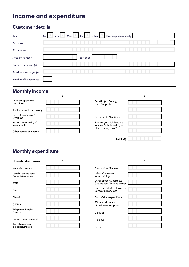# **Income and expenditure**

# **Customer details**

| Title                    | Other $\mathbb{X}$ If other, please specify<br>$\parallel$ Ms $\parallel$ $\times$<br>Miss <sup>1</sup><br>Mrs  <br>Mr |
|--------------------------|------------------------------------------------------------------------------------------------------------------------|
| Surname                  |                                                                                                                        |
| First name(s)            |                                                                                                                        |
| Account number           | Sort code                                                                                                              |
| Name of Employer (s)     |                                                                                                                        |
| Position at employer (s) |                                                                                                                        |
| Number of Dependents     |                                                                                                                        |

# **Monthly income**

|                                     | £                   |                                                             | £ |
|-------------------------------------|---------------------|-------------------------------------------------------------|---|
| Principal applicants<br>net salary  |                     | Benefits (e.g Family,<br>Child Support)                     |   |
| Joint applicants net salary         |                     |                                                             |   |
| Bonus/Commission/<br>Overtime       |                     | Other debts / liabilities                                   |   |
| Income from savings/<br>Investments |                     | If any of your liabilities are<br>Interest Only, how do you |   |
| Other source of income              | plan to repay them? |                                                             |   |
|                                     |                     | Total (A)                                                   |   |

# **Monthly expenditure**

| Household expenses                             | £ |                                                        | £ |
|------------------------------------------------|---|--------------------------------------------------------|---|
| House insurance                                |   | Car services/Repairs                                   |   |
| Local authority rates/<br>Council/Property tax |   | Leisure/recreation<br>/entertaining                    |   |
| Water                                          |   | Other property costs e.g<br>Ground rent/Service charge |   |
| Gas                                            |   | Domestic help/Child minder/<br>School/Nursery fees     |   |
| Electric                                       |   | Food/Other expenditure                                 |   |
| Oil/Fuel                                       |   | TV rental/Licence<br>/Satellite subscription           |   |
| Telephone/Mobile<br>/Internet                  |   | Clothing                                               |   |
| Property maintenance                           |   | Holidays                                               |   |
| Travel expenses<br>e.g parking/petrol          |   | Other                                                  |   |

| Car services/Repairs                                   |  |
|--------------------------------------------------------|--|
| Leisure/recreation<br>/entertaining                    |  |
| Other property costs e.g<br>Ground rent/Service charge |  |
| Domestic help/Child minder/<br>School/Nursery fees     |  |
| Food/Other expenditure                                 |  |
| TV rental/Licence<br>/Satellite subscription           |  |
| Clothing                                               |  |
| Holidays                                               |  |
| Other                                                  |  |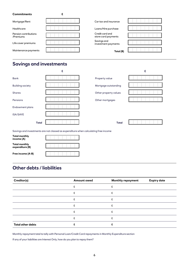| <b>Commitments</b>                 | £ |                                        |  |
|------------------------------------|---|----------------------------------------|--|
| Mortgage/Rent                      |   | Car tax and insurance                  |  |
| Healthcare                         |   | Loans/Hire purchase                    |  |
| Pension contributions<br>/Premiums |   | Credit card and<br>store card payments |  |
| Life cover premiums                |   | Savings and<br>investment payments     |  |
| Maintenance payments               |   | Total (B)                              |  |

# **Savings and investments**

|                                                                                     | £ |                       | £ |
|-------------------------------------------------------------------------------------|---|-----------------------|---|
| <b>Bank</b>                                                                         |   | Property value        |   |
| <b>Building society</b>                                                             |   | Mortgage outstanding  |   |
| <b>Shares</b>                                                                       |   | Other property values |   |
| Pensions                                                                            |   | Other mortgages       |   |
| Endowment plans                                                                     |   |                       |   |
| ISA/SAYE                                                                            |   |                       |   |
| <b>Total</b>                                                                        |   | <b>Total</b>          |   |
| Savings and investments are not classed as expenditure when calculating free income |   |                       |   |

| <b>Total monthly</b><br>income (A)      |  |
|-----------------------------------------|--|
| <b>Total monthly</b><br>expenditure (B) |  |
| Free income (A-B)                       |  |

# **Other debts / liabilities**

| Creditor(s)              | <b>Amount owed</b> | <b>Monthly repayment</b> | <b>Expiry date</b> |
|--------------------------|--------------------|--------------------------|--------------------|
|                          |                    |                          |                    |
|                          |                    | £.                       |                    |
|                          |                    | £.                       |                    |
|                          |                    | c                        |                    |
|                          |                    | £.                       |                    |
|                          |                    |                          |                    |
| <b>Total other debts</b> |                    | r                        |                    |

Monthly repayment total to tally with Personal Loan/Credit Card repayments in Monthly Expenditure section

If any of your liabilities are Interest Only, how do you plan to repay them?